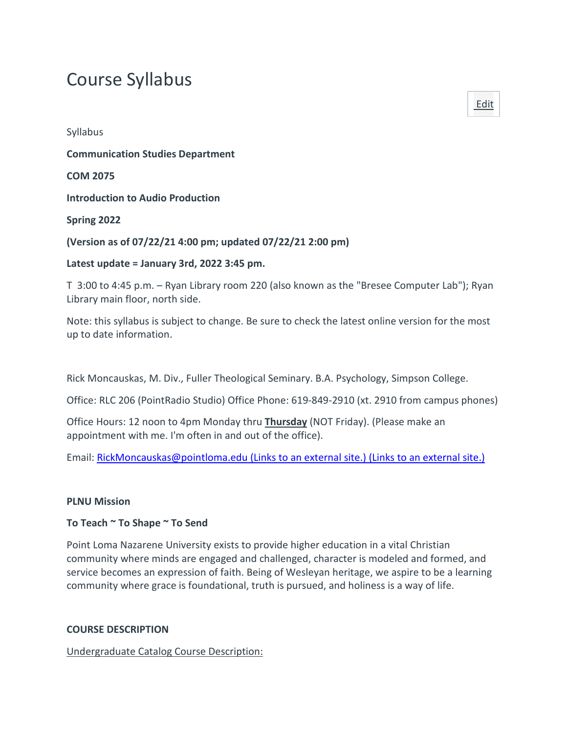# Course Syllabus

Syllabus **Communication Studies Department COM 2075 Introduction to Audio Production Spring 2022**

#### **(Version as of 07/22/21 4:00 pm; updated 07/22/21 2:00 pm)**

#### **Latest update = January 3rd, 2022 3:45 pm.**

T 3:00 to 4:45 p.m. – Ryan Library room 220 (also known as the "Bresee Computer Lab"); Ryan Library main floor, north side.

Note: this syllabus is subject to change. Be sure to check the latest online version for the most up to date information.

Rick Moncauskas, M. Div., Fuller Theological Seminary. B.A. Psychology, Simpson College.

Office: RLC 206 (PointRadio Studio) Office Phone: 619-849-2910 (xt. 2910 from campus phones)

Office Hours: 12 noon to 4pm Monday thru **Thursday** (NOT Friday). (Please make an appointment with me. I'm often in and out of the office).

Email: [RickMoncauskas@pointloma.edu](https://mail.google.com/mail/?view=cm&fs=1&tf=1&to=RickMoncauskas@pointloma.edu) (Links to an external site.) (Links to an external site.)

#### **PLNU Mission**

#### **To Teach ~ To Shape ~ To Send**

Point Loma Nazarene University exists to provide higher education in a vital Christian community where minds are engaged and challenged, character is modeled and formed, and service becomes an expression of faith. Being of Wesleyan heritage, we aspire to be a learning community where grace is foundational, truth is pursued, and holiness is a way of life.

#### **COURSE DESCRIPTION**

Undergraduate Catalog Course Description:

[Edit](https://canvas.pointloma.edu/courses/60197/assignments/syllabus)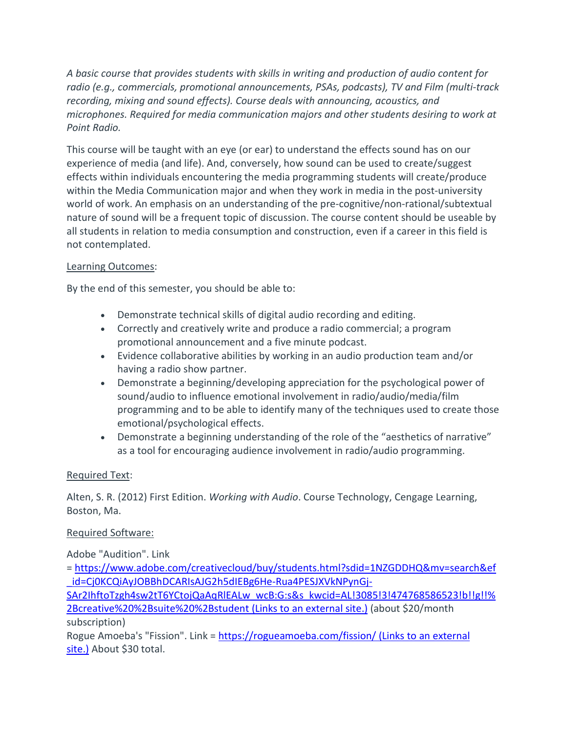*A basic course that provides students with skills in writing and production of audio content for radio (e.g., commercials, promotional announcements, PSAs, podcasts), TV and Film (multi-track recording, mixing and sound effects). Course deals with announcing, acoustics, and microphones. Required for media communication majors and other students desiring to work at Point Radio.*

This course will be taught with an eye (or ear) to understand the effects sound has on our experience of media (and life). And, conversely, how sound can be used to create/suggest effects within individuals encountering the media programming students will create/produce within the Media Communication major and when they work in media in the post-university world of work. An emphasis on an understanding of the pre-cognitive/non-rational/subtextual nature of sound will be a frequent topic of discussion. The course content should be useable by all students in relation to media consumption and construction, even if a career in this field is not contemplated.

# Learning Outcomes:

By the end of this semester, you should be able to:

- Demonstrate technical skills of digital audio recording and editing.
- Correctly and creatively write and produce a radio commercial; a program promotional announcement and a five minute podcast.
- Evidence collaborative abilities by working in an audio production team and/or having a radio show partner.
- Demonstrate a beginning/developing appreciation for the psychological power of sound/audio to influence emotional involvement in radio/audio/media/film programming and to be able to identify many of the techniques used to create those emotional/psychological effects.
- Demonstrate a beginning understanding of the role of the "aesthetics of narrative" as a tool for encouraging audience involvement in radio/audio programming.

# Required Text:

Alten, S. R. (2012) First Edition. *Working with Audio*. Course Technology, Cengage Learning, Boston, Ma.

# Required Software:

Adobe "Audition". Link

= [https://www.adobe.com/creativecloud/buy/students.html?sdid=1NZGDDHQ&mv=search&ef](https://www.adobe.com/creativecloud/buy/students.html?sdid=1NZGDDHQ&mv=search&ef_id=Cj0KCQiAyJOBBhDCARIsAJG2h5dIEBg6He-Rua4PESJXVkNPynGj-SAr2IhftoTzgh4sw2tT6YCtojQaAqRlEALw_wcB:G:s&s_kwcid=AL!3085!3!474768586523!b!!g!!%2Bcreative%20%2Bsuite%20%2Bstudent) [\\_id=Cj0KCQiAyJOBBhDCARIsAJG2h5dIEBg6He-Rua4PESJXVkNPynGj-](https://www.adobe.com/creativecloud/buy/students.html?sdid=1NZGDDHQ&mv=search&ef_id=Cj0KCQiAyJOBBhDCARIsAJG2h5dIEBg6He-Rua4PESJXVkNPynGj-SAr2IhftoTzgh4sw2tT6YCtojQaAqRlEALw_wcB:G:s&s_kwcid=AL!3085!3!474768586523!b!!g!!%2Bcreative%20%2Bsuite%20%2Bstudent)

[SAr2IhftoTzgh4sw2tT6YCtojQaAqRlEALw\\_wcB:G:s&s\\_kwcid=AL!3085!3!474768586523!b!!g!!%](https://www.adobe.com/creativecloud/buy/students.html?sdid=1NZGDDHQ&mv=search&ef_id=Cj0KCQiAyJOBBhDCARIsAJG2h5dIEBg6He-Rua4PESJXVkNPynGj-SAr2IhftoTzgh4sw2tT6YCtojQaAqRlEALw_wcB:G:s&s_kwcid=AL!3085!3!474768586523!b!!g!!%2Bcreative%20%2Bsuite%20%2Bstudent) [2Bcreative%20%2Bsuite%20%2Bstudent](https://www.adobe.com/creativecloud/buy/students.html?sdid=1NZGDDHQ&mv=search&ef_id=Cj0KCQiAyJOBBhDCARIsAJG2h5dIEBg6He-Rua4PESJXVkNPynGj-SAr2IhftoTzgh4sw2tT6YCtojQaAqRlEALw_wcB:G:s&s_kwcid=AL!3085!3!474768586523!b!!g!!%2Bcreative%20%2Bsuite%20%2Bstudent) (Links to an external site.) (about \$20/month subscription)

Rogue Amoeba's "Fission". Link = <https://rogueamoeba.com/fission/> (Links to an external [site.\)](https://rogueamoeba.com/fission/) About \$30 total.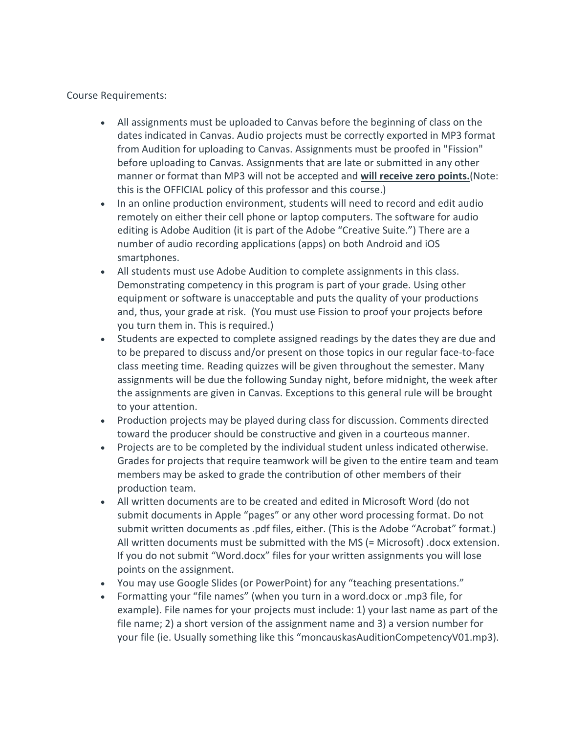Course Requirements:

- All assignments must be uploaded to Canvas before the beginning of class on the dates indicated in Canvas. Audio projects must be correctly exported in MP3 format from Audition for uploading to Canvas. Assignments must be proofed in "Fission" before uploading to Canvas. Assignments that are late or submitted in any other manner or format than MP3 will not be accepted and **will receive zero points.**(Note: this is the OFFICIAL policy of this professor and this course.)
- In an online production environment, students will need to record and edit audio remotely on either their cell phone or laptop computers. The software for audio editing is Adobe Audition (it is part of the Adobe "Creative Suite.") There are a number of audio recording applications (apps) on both Android and iOS smartphones.
- All students must use Adobe Audition to complete assignments in this class. Demonstrating competency in this program is part of your grade. Using other equipment or software is unacceptable and puts the quality of your productions and, thus, your grade at risk. (You must use Fission to proof your projects before you turn them in. This is required.)
- Students are expected to complete assigned readings by the dates they are due and to be prepared to discuss and/or present on those topics in our regular face-to-face class meeting time. Reading quizzes will be given throughout the semester. Many assignments will be due the following Sunday night, before midnight, the week after the assignments are given in Canvas. Exceptions to this general rule will be brought to your attention.
- Production projects may be played during class for discussion. Comments directed toward the producer should be constructive and given in a courteous manner.
- Projects are to be completed by the individual student unless indicated otherwise. Grades for projects that require teamwork will be given to the entire team and team members may be asked to grade the contribution of other members of their production team.
- All written documents are to be created and edited in Microsoft Word (do not submit documents in Apple "pages" or any other word processing format. Do not submit written documents as .pdf files, either. (This is the Adobe "Acrobat" format.) All written documents must be submitted with the MS (= Microsoft) .docx extension. If you do not submit "Word.docx" files for your written assignments you will lose points on the assignment.
- You may use Google Slides (or PowerPoint) for any "teaching presentations."
- Formatting your "file names" (when you turn in a word.docx or .mp3 file, for example). File names for your projects must include: 1) your last name as part of the file name; 2) a short version of the assignment name and 3) a version number for your file (ie. Usually something like this "moncauskasAuditionCompetencyV01.mp3).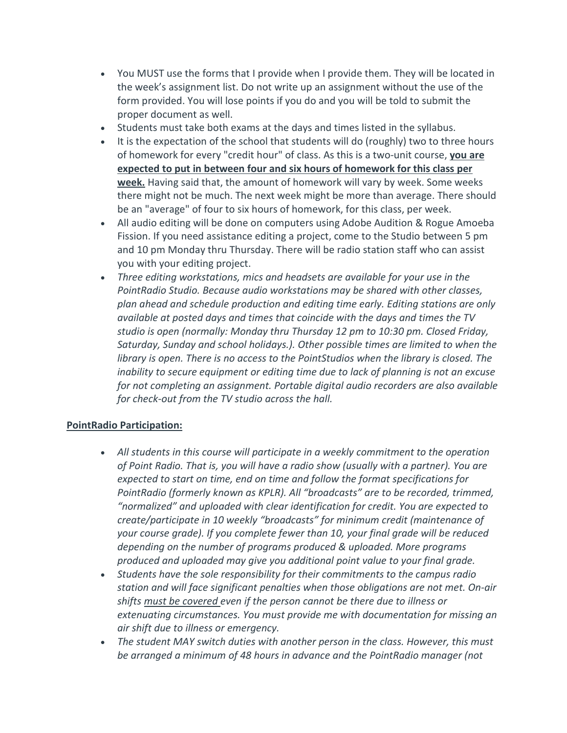- You MUST use the forms that I provide when I provide them. They will be located in the week's assignment list. Do not write up an assignment without the use of the form provided. You will lose points if you do and you will be told to submit the proper document as well.
- Students must take both exams at the days and times listed in the syllabus.
- It is the expectation of the school that students will do (roughly) two to three hours of homework for every "credit hour" of class. As this is a two-unit course, **you are expected to put in between four and six hours of homework for this class per week.** Having said that, the amount of homework will vary by week. Some weeks there might not be much. The next week might be more than average. There should be an "average" of four to six hours of homework, for this class, per week.
- All audio editing will be done on computers using Adobe Audition & Rogue Amoeba Fission. If you need assistance editing a project, come to the Studio between 5 pm and 10 pm Monday thru Thursday. There will be radio station staff who can assist you with your editing project.
- *Three editing workstations, mics and headsets are available for your use in the PointRadio Studio. Because audio workstations may be shared with other classes, plan ahead and schedule production and editing time early. Editing stations are only available at posted days and times that coincide with the days and times the TV studio is open (normally: Monday thru Thursday 12 pm to 10:30 pm. Closed Friday, Saturday, Sunday and school holidays.). Other possible times are limited to when the library is open. There is no access to the PointStudios when the library is closed. The inability to secure equipment or editing time due to lack of planning is not an excuse for not completing an assignment. Portable digital audio recorders are also available for check-out from the TV studio across the hall.*

# **PointRadio Participation:**

- *All students in this course will participate in a weekly commitment to the operation of Point Radio. That is, you will have a radio show (usually with a partner). You are expected to start on time, end on time and follow the format specifications for PointRadio (formerly known as KPLR). All "broadcasts" are to be recorded, trimmed, "normalized" and uploaded with clear identification for credit. You are expected to create/participate in 10 weekly "broadcasts" for minimum credit (maintenance of your course grade). If you complete fewer than 10, your final grade will be reduced depending on the number of programs produced & uploaded. More programs produced and uploaded may give you additional point value to your final grade.*
- *Students have the sole responsibility for their commitments to the campus radio station and will face significant penalties when those obligations are not met. On-air shifts must be covered even if the person cannot be there due to illness or extenuating circumstances. You must provide me with documentation for missing an air shift due to illness or emergency.*
- *The student MAY switch duties with another person in the class. However, this must be arranged a minimum of 48 hours in advance and the PointRadio manager (not*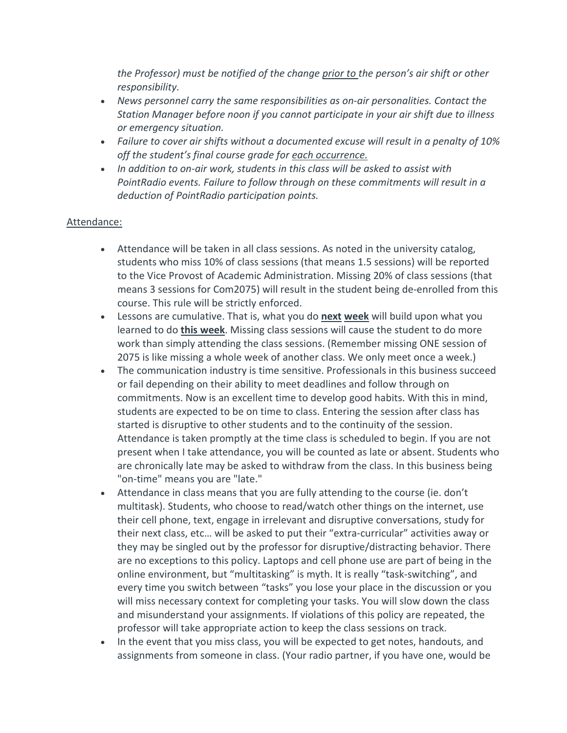*the Professor) must be notified of the change prior to the person's air shift or other responsibility.*

- *News personnel carry the same responsibilities as on-air personalities. Contact the Station Manager before noon if you cannot participate in your air shift due to illness or emergency situation.*
- *Failure to cover air shifts without a documented excuse will result in a penalty of 10% off the student's final course grade for each occurrence.*
- *In addition to on-air work, students in this class will be asked to assist with PointRadio events. Failure to follow through on these commitments will result in a deduction of PointRadio participation points.*

# Attendance:

- Attendance will be taken in all class sessions. As noted in the university catalog, students who miss 10% of class sessions (that means 1.5 sessions) will be reported to the Vice Provost of Academic Administration. Missing 20% of class sessions (that means 3 sessions for Com2075) will result in the student being de-enrolled from this course. This rule will be strictly enforced.
- Lessons are cumulative. That is, what you do **next week** will build upon what you learned to do **this week**. Missing class sessions will cause the student to do more work than simply attending the class sessions. (Remember missing ONE session of 2075 is like missing a whole week of another class. We only meet once a week.)
- The communication industry is time sensitive. Professionals in this business succeed or fail depending on their ability to meet deadlines and follow through on commitments. Now is an excellent time to develop good habits. With this in mind, students are expected to be on time to class. Entering the session after class has started is disruptive to other students and to the continuity of the session. Attendance is taken promptly at the time class is scheduled to begin. If you are not present when I take attendance, you will be counted as late or absent. Students who are chronically late may be asked to withdraw from the class. In this business being "on-time" means you are "late."
- Attendance in class means that you are fully attending to the course (ie. don't multitask). Students, who choose to read/watch other things on the internet, use their cell phone, text, engage in irrelevant and disruptive conversations, study for their next class, etc… will be asked to put their "extra-curricular" activities away or they may be singled out by the professor for disruptive/distracting behavior. There are no exceptions to this policy. Laptops and cell phone use are part of being in the online environment, but "multitasking" is myth. It is really "task-switching", and every time you switch between "tasks" you lose your place in the discussion or you will miss necessary context for completing your tasks. You will slow down the class and misunderstand your assignments. If violations of this policy are repeated, the professor will take appropriate action to keep the class sessions on track.
- In the event that you miss class, you will be expected to get notes, handouts, and assignments from someone in class. (Your radio partner, if you have one, would be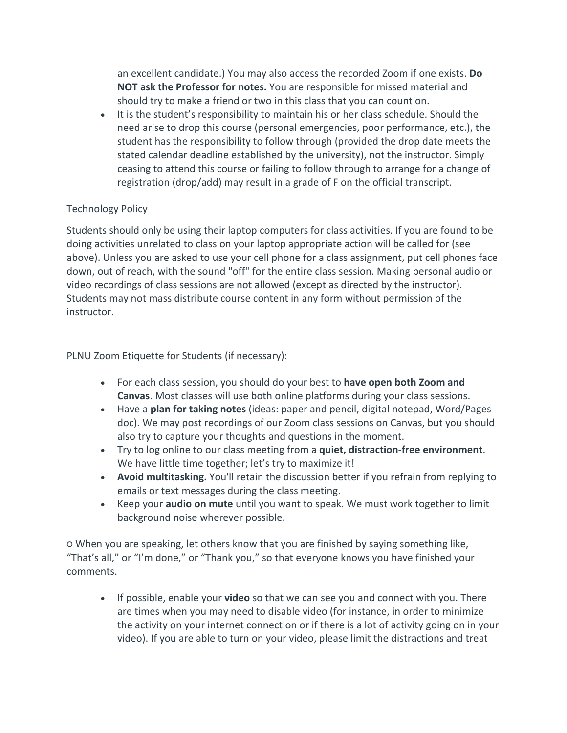an excellent candidate.) You may also access the recorded Zoom if one exists. **Do NOT ask the Professor for notes.** You are responsible for missed material and should try to make a friend or two in this class that you can count on.

• It is the student's responsibility to maintain his or her class schedule. Should the need arise to drop this course (personal emergencies, poor performance, etc.), the student has the responsibility to follow through (provided the drop date meets the stated calendar deadline established by the university), not the instructor. Simply ceasing to attend this course or failing to follow through to arrange for a change of registration (drop/add) may result in a grade of F on the official transcript.

# Technology Policy

Students should only be using their laptop computers for class activities. If you are found to be doing activities unrelated to class on your laptop appropriate action will be called for (see above). Unless you are asked to use your cell phone for a class assignment, put cell phones face down, out of reach, with the sound "off" for the entire class session. Making personal audio or video recordings of class sessions are not allowed (except as directed by the instructor). Students may not mass distribute course content in any form without permission of the instructor.

PLNU Zoom Etiquette for Students (if necessary):

- For each class session, you should do your best to **have open both Zoom and Canvas**. Most classes will use both online platforms during your class sessions.
- Have a **plan for taking notes** (ideas: paper and pencil, digital notepad, Word/Pages doc). We may post recordings of our Zoom class sessions on Canvas, but you should also try to capture your thoughts and questions in the moment.
- Try to log online to our class meeting from a **quiet, distraction-free environment**. We have little time together; let's try to maximize it!
- **Avoid multitasking.** You'll retain the discussion better if you refrain from replying to emails or text messages during the class meeting.
- Keep your **audio on mute** until you want to speak. We must work together to limit background noise wherever possible.

○ When you are speaking, let others know that you are finished by saying something like, "That's all," or "I'm done," or "Thank you," so that everyone knows you have finished your comments.

• If possible, enable your **video** so that we can see you and connect with you. There are times when you may need to disable video (for instance, in order to minimize the activity on your internet connection or if there is a lot of activity going on in your video). If you are able to turn on your video, please limit the distractions and treat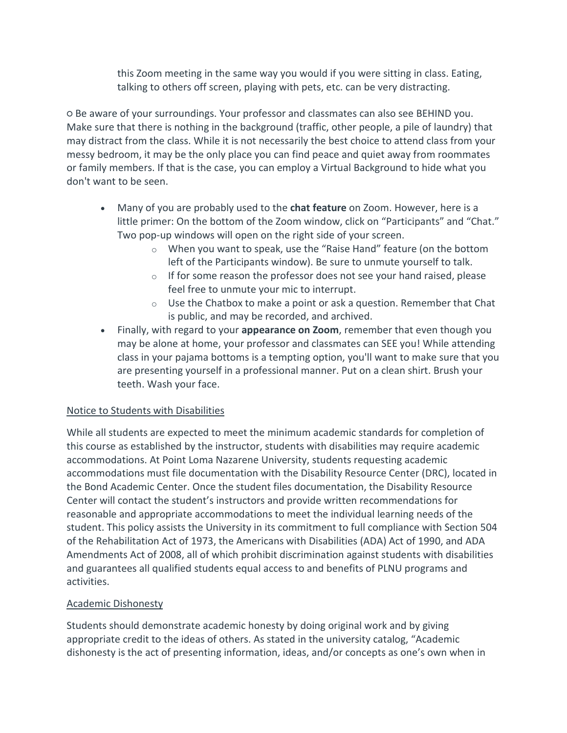this Zoom meeting in the same way you would if you were sitting in class. Eating, talking to others off screen, playing with pets, etc. can be very distracting.

○ Be aware of your surroundings. Your professor and classmates can also see BEHIND you. Make sure that there is nothing in the background (traffic, other people, a pile of laundry) that may distract from the class. While it is not necessarily the best choice to attend class from your messy bedroom, it may be the only place you can find peace and quiet away from roommates or family members. If that is the case, you can employ a Virtual Background to hide what you don't want to be seen.

- Many of you are probably used to the **chat feature** on Zoom. However, here is a little primer: On the bottom of the Zoom window, click on "Participants" and "Chat." Two pop-up windows will open on the right side of your screen.
	- o When you want to speak, use the "Raise Hand" feature (on the bottom left of the Participants window). Be sure to unmute yourself to talk.
	- $\circ$  If for some reason the professor does not see your hand raised, please feel free to unmute your mic to interrupt.
	- $\circ$  Use the Chatbox to make a point or ask a question. Remember that Chat is public, and may be recorded, and archived.
- Finally, with regard to your **appearance on Zoom**, remember that even though you may be alone at home, your professor and classmates can SEE you! While attending class in your pajama bottoms is a tempting option, you'll want to make sure that you are presenting yourself in a professional manner. Put on a clean shirt. Brush your teeth. Wash your face.

# Notice to Students with Disabilities

While all students are expected to meet the minimum academic standards for completion of this course as established by the instructor, students with disabilities may require academic accommodations. At Point Loma Nazarene University, students requesting academic accommodations must file documentation with the Disability Resource Center (DRC), located in the Bond Academic Center. Once the student files documentation, the Disability Resource Center will contact the student's instructors and provide written recommendations for reasonable and appropriate accommodations to meet the individual learning needs of the student. This policy assists the University in its commitment to full compliance with Section 504 of the Rehabilitation Act of 1973, the Americans with Disabilities (ADA) Act of 1990, and ADA Amendments Act of 2008, all of which prohibit discrimination against students with disabilities and guarantees all qualified students equal access to and benefits of PLNU programs and activities.

# Academic Dishonesty

Students should demonstrate academic honesty by doing original work and by giving appropriate credit to the ideas of others. As stated in the university catalog, "Academic dishonesty is the act of presenting information, ideas, and/or concepts as one's own when in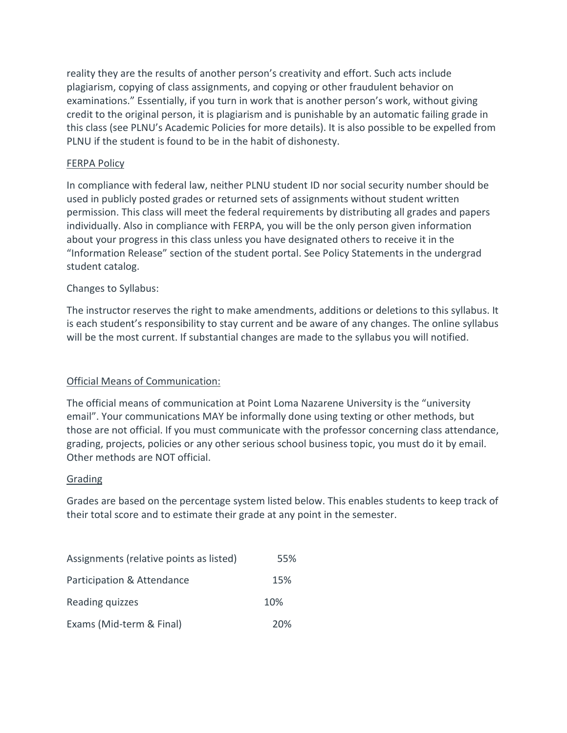reality they are the results of another person's creativity and effort. Such acts include plagiarism, copying of class assignments, and copying or other fraudulent behavior on examinations." Essentially, if you turn in work that is another person's work, without giving credit to the original person, it is plagiarism and is punishable by an automatic failing grade in this class (see PLNU's Academic Policies for more details). It is also possible to be expelled from PLNU if the student is found to be in the habit of dishonesty.

## FERPA Policy

In compliance with federal law, neither PLNU student ID nor social security number should be used in publicly posted grades or returned sets of assignments without student written permission. This class will meet the federal requirements by distributing all grades and papers individually. Also in compliance with FERPA, you will be the only person given information about your progress in this class unless you have designated others to receive it in the "Information Release" section of the student portal. See Policy Statements in the undergrad student catalog.

## Changes to Syllabus:

The instructor reserves the right to make amendments, additions or deletions to this syllabus. It is each student's responsibility to stay current and be aware of any changes. The online syllabus will be the most current. If substantial changes are made to the syllabus you will notified.

# Official Means of Communication:

The official means of communication at Point Loma Nazarene University is the "university email". Your communications MAY be informally done using texting or other methods, but those are not official. If you must communicate with the professor concerning class attendance, grading, projects, policies or any other serious school business topic, you must do it by email. Other methods are NOT official.

#### Grading

Grades are based on the percentage system listed below. This enables students to keep track of their total score and to estimate their grade at any point in the semester.

| Assignments (relative points as listed) | 55% |
|-----------------------------------------|-----|
| Participation & Attendance              | 15% |
| Reading quizzes                         | 10% |
| Exams (Mid-term & Final)                | 20% |